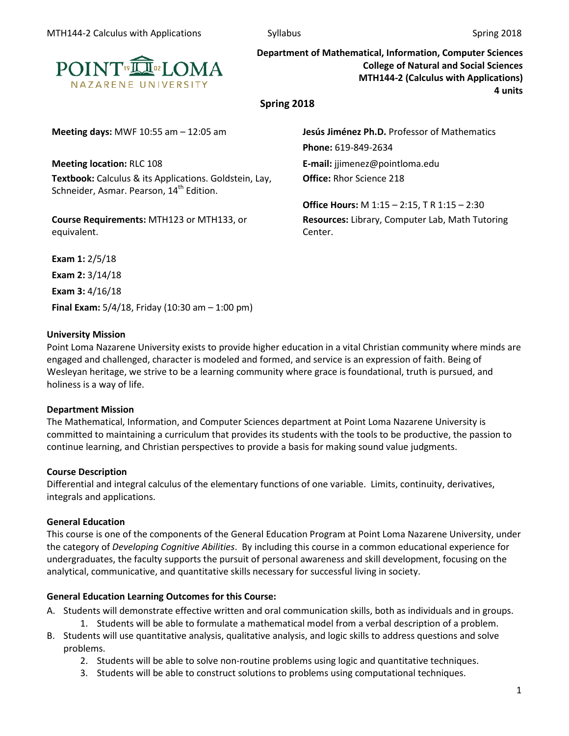

**Department of Mathematical, Information, Computer Sciences College of Natural and Social Sciences MTH144-2 (Calculus with Applications) 4 units**

**Spring 2018**

**Meeting location:** RLC 108 **E-mail:** jjimenez@pointloma.edu **Textbook:** Calculus & its Applications. Goldstein, Lay, Schneider, Asmar. Pearson, 14<sup>th</sup> Edition.

**Course Requirements:** MTH123 or MTH133, or equivalent.

**Meeting days:** MWF 10:55 am – 12:05 am **Jesús Jiménez Ph.D.** Professor of Mathematics **Phone:** 619-849-2634

**Office:** Rhor Science 218

**Office Hours:** M 1:15 – 2:15, T R 1:15 – 2:30 **Resources:** Library, Computer Lab, Math Tutoring Center.

**Exam 1:** 2/5/18 **Exam 2:** 3/14/18 **Exam 3:** 4/16/18 **Final Exam:** 5/4/18, Friday (10:30 am – 1:00 pm)

### **University Mission**

Point Loma Nazarene University exists to provide higher education in a vital Christian community where minds are engaged and challenged, character is modeled and formed, and service is an expression of faith. Being of Wesleyan heritage, we strive to be a learning community where grace is foundational, truth is pursued, and holiness is a way of life.

#### **Department Mission**

The Mathematical, Information, and Computer Sciences department at Point Loma Nazarene University is committed to maintaining a curriculum that provides its students with the tools to be productive, the passion to continue learning, and Christian perspectives to provide a basis for making sound value judgments.

#### **Course Description**

Differential and integral calculus of the elementary functions of one variable. Limits, continuity, derivatives, integrals and applications.

#### **General Education**

This course is one of the components of the General Education Program at Point Loma Nazarene University, under the category of *Developing Cognitive Abilities*. By including this course in a common educational experience for undergraduates, the faculty supports the pursuit of personal awareness and skill development, focusing on the analytical, communicative, and quantitative skills necessary for successful living in society.

# **General Education Learning Outcomes for this Course:**

- A. Students will demonstrate effective written and oral communication skills, both as individuals and in groups. 1. Students will be able to formulate a mathematical model from a verbal description of a problem.
- B. Students will use quantitative analysis, qualitative analysis, and logic skills to address questions and solve problems.
	- 2. Students will be able to solve non-routine problems using logic and quantitative techniques.
	- 3. Students will be able to construct solutions to problems using computational techniques.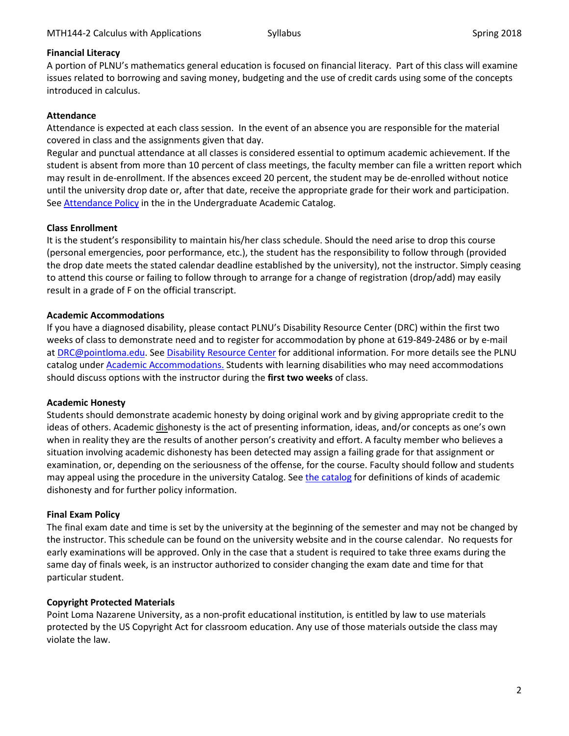### **Financial Literacy**

A portion of PLNU's mathematics general education is focused on financial literacy. Part of this class will examine issues related to borrowing and saving money, budgeting and the use of credit cards using some of the concepts introduced in calculus.

### **Attendance**

Attendance is expected at each class session. In the event of an absence you are responsible for the material covered in class and the assignments given that day.

Regular and punctual attendance at all classes is considered essential to optimum academic achievement. If the student is absent from more than 10 percent of class meetings, the faculty member can file a written report which may result in de-enrollment. If the absences exceed 20 percent, the student may be de-enrolled without notice until the university drop date or, after that date, receive the appropriate grade for their work and participation. See **Attendance Policy** in the in the Undergraduate Academic Catalog.

### **Class Enrollment**

It is the student's responsibility to maintain his/her class schedule. Should the need arise to drop this course (personal emergencies, poor performance, etc.), the student has the responsibility to follow through (provided the drop date meets the stated calendar deadline established by the university), not the instructor. Simply ceasing to attend this course or failing to follow through to arrange for a change of registration (drop/add) may easily result in a grade of F on the official transcript.

### **Academic Accommodations**

If you have a diagnosed disability, please contact PLNU's Disability Resource Center (DRC) within the first two weeks of class to demonstrate need and to register for accommodation by phone at 619-849-2486 or by e-mail at [DRC@pointloma.edu.](mailto:DRC@pointloma.edu) See [Disability Resource Center](http://www.pointloma.edu/experience/offices/administrative-offices/academic-advising-office/disability-resource-center) for additional information. For more details see the PLNU catalog unde[r Academic Accommodations.](https://catalog.pointloma.edu/content.php?catoid=28&navoid=1761#Academic_Accommodations) Students with learning disabilities who may need accommodations should discuss options with the instructor during the **first two weeks** of class.

#### **Academic Honesty**

Students should demonstrate academic honesty by doing original work and by giving appropriate credit to the ideas of others. Academic dishonesty is the act of presenting information, ideas, and/or concepts as one's own when in reality they are the results of another person's creativity and effort. A faculty member who believes a situation involving academic dishonesty has been detected may assign a failing grade for that assignment or examination, or, depending on the seriousness of the offense, for the course. Faculty should follow and students may appeal using the procedure in the university Catalog. See [the catalog](https://catalog.pointloma.edu/content.php?catoid=28&navoid=1761#Academic_Honesty) for definitions of kinds of academic dishonesty and for further policy information.

#### **Final Exam Policy**

The final exam date and time is set by the university at the beginning of the semester and may not be changed by the instructor. This schedule can be found on the university website and in the course calendar. No requests for early examinations will be approved. Only in the case that a student is required to take three exams during the same day of finals week, is an instructor authorized to consider changing the exam date and time for that particular student.

# **Copyright Protected Materials**

Point Loma Nazarene University, as a non-profit educational institution, is entitled by law to use materials protected by the US Copyright Act for classroom education. Any use of those materials outside the class may violate the law.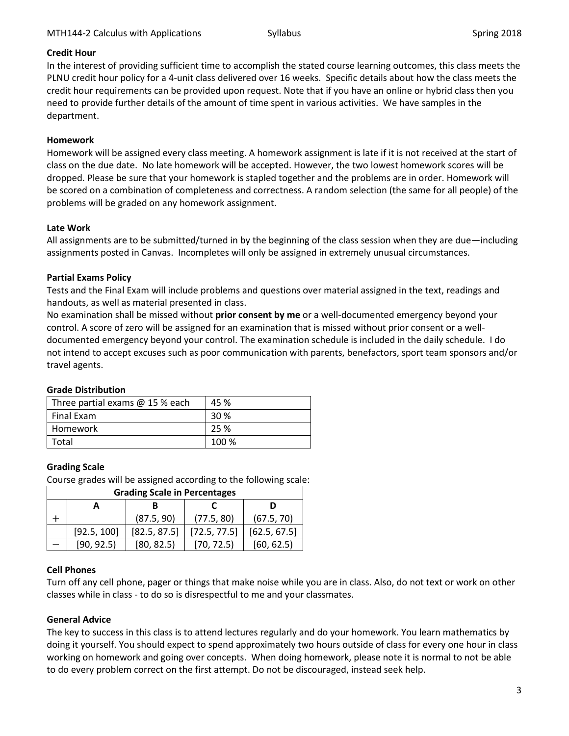### **Credit Hour**

In the interest of providing sufficient time to accomplish the stated course learning outcomes, this class meets the PLNU credit hour policy for a 4-unit class delivered over 16 weeks. Specific details about how the class meets the credit hour requirements can be provided upon request. Note that if you have an online or hybrid class then you need to provide further details of the amount of time spent in various activities. We have samples in the department.

## **Homework**

Homework will be assigned every class meeting. A homework assignment is late if it is not received at the start of class on the due date. No late homework will be accepted. However, the two lowest homework scores will be dropped. Please be sure that your homework is stapled together and the problems are in order. Homework will be scored on a combination of completeness and correctness. A random selection (the same for all people) of the problems will be graded on any homework assignment.

### **Late Work**

All assignments are to be submitted/turned in by the beginning of the class session when they are due—including assignments posted in Canvas. Incompletes will only be assigned in extremely unusual circumstances.

### **Partial Exams Policy**

Tests and the Final Exam will include problems and questions over material assigned in the text, readings and handouts, as well as material presented in class.

No examination shall be missed without **prior consent by me** or a well-documented emergency beyond your control. A score of zero will be assigned for an examination that is missed without prior consent or a welldocumented emergency beyond your control. The examination schedule is included in the daily schedule. I do not intend to accept excuses such as poor communication with parents, benefactors, sport team sponsors and/or travel agents.

# **Grade Distribution**

| Three partial exams $@$ 15 % each | 45 %  |
|-----------------------------------|-------|
| <b>Final Exam</b>                 | 30 %  |
| Homework                          | 25 %  |
| Total                             | 100 % |

# **Grading Scale**

Course grades will be assigned according to the following scale:

| <b>Grading Scale in Percentages</b> |             |              |              |              |  |  |
|-------------------------------------|-------------|--------------|--------------|--------------|--|--|
|                                     |             |              |              |              |  |  |
|                                     |             | (87.5, 90)   | (77.5, 80)   | (67.5, 70)   |  |  |
|                                     | [92.5, 100] | [82.5, 87.5] | [72.5, 77.5] | [62.5, 67.5] |  |  |
|                                     | [90, 92.5]  | [80, 82.5]   | [70, 72.5]   | [60, 62.5]   |  |  |

#### **Cell Phones**

Turn off any cell phone, pager or things that make noise while you are in class. Also, do not text or work on other classes while in class - to do so is disrespectful to me and your classmates.

# **General Advice**

The key to success in this class is to attend lectures regularly and do your homework. You learn mathematics by doing it yourself. You should expect to spend approximately two hours outside of class for every one hour in class working on homework and going over concepts. When doing homework, please note it is normal to not be able to do every problem correct on the first attempt. Do not be discouraged, instead seek help.